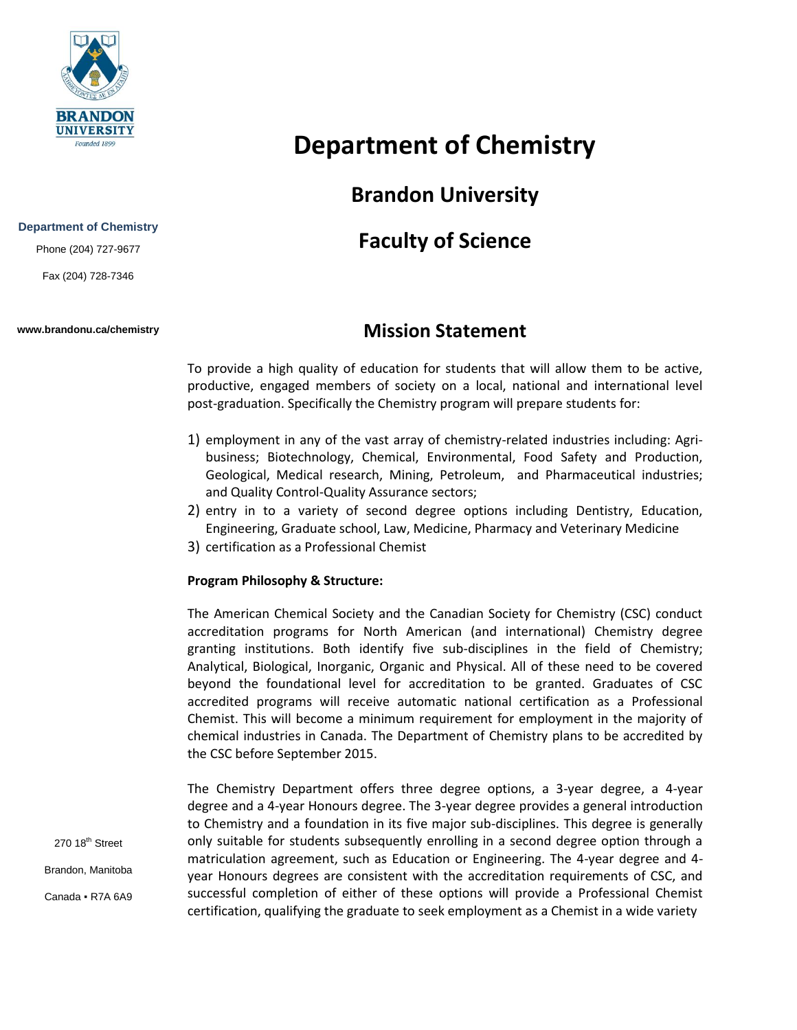

#### **Department of Chemistry**

Phone (204) 727-9677

Fax (204) 728-7346

#### **www.brandonu.ca/chemistry**

# **Department of Chemistry**

# **Brandon University**

# **Faculty of Science**

### **Mission Statement**

To provide a high quality of education for students that will allow them to be active, productive, engaged members of society on a local, national and international level post-graduation. Specifically the Chemistry program will prepare students for:

- 1) employment in any of the vast array of chemistry-related industries including: Agribusiness; Biotechnology, Chemical, Environmental, Food Safety and Production, Geological, Medical research, Mining, Petroleum, and Pharmaceutical industries; and Quality Control-Quality Assurance sectors;
- 2) entry in to a variety of second degree options including Dentistry, Education, Engineering, Graduate school, Law, Medicine, Pharmacy and Veterinary Medicine
- 3) certification as a Professional Chemist

#### **Program Philosophy & Structure:**

The American Chemical Society and the Canadian Society for Chemistry (CSC) conduct accreditation programs for North American (and international) Chemistry degree granting institutions. Both identify five sub-disciplines in the field of Chemistry; Analytical, Biological, Inorganic, Organic and Physical. All of these need to be covered beyond the foundational level for accreditation to be granted. Graduates of CSC accredited programs will receive automatic national certification as a Professional Chemist. This will become a minimum requirement for employment in the majority of chemical industries in Canada. The Department of Chemistry plans to be accredited by the CSC before September 2015.

The Chemistry Department offers three degree options, a 3-year degree, a 4-year degree and a 4-year Honours degree. The 3-year degree provides a general introduction to Chemistry and a foundation in its five major sub-disciplines. This degree is generally only suitable for students subsequently enrolling in a second degree option through a matriculation agreement, such as Education or Engineering. The 4-year degree and 4 year Honours degrees are consistent with the accreditation requirements of CSC, and successful completion of either of these options will provide a Professional Chemist certification, qualifying the graduate to seek employment as a Chemist in a wide variety

270 18<sup>th</sup> Street Brandon, Manitoba Canada ▪ R7A 6A9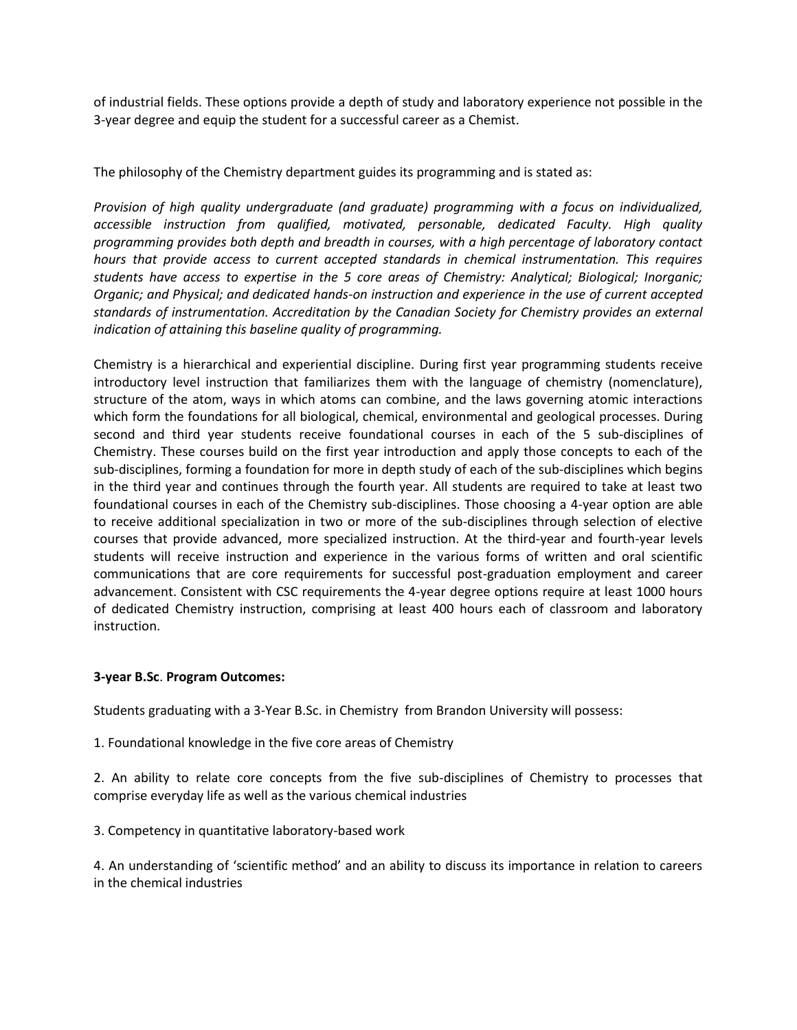of industrial fields. These options provide a depth of study and laboratory experience not possible in the 3-year degree and equip the student for a successful career as a Chemist.

The philosophy of the Chemistry department guides its programming and is stated as:

*Provision of high quality undergraduate (and graduate) programming with a focus on individualized, accessible instruction from qualified, motivated, personable, dedicated Faculty. High quality programming provides both depth and breadth in courses, with a high percentage of laboratory contact hours that provide access to current accepted standards in chemical instrumentation. This requires students have access to expertise in the 5 core areas of Chemistry: Analytical; Biological; Inorganic; Organic; and Physical; and dedicated hands-on instruction and experience in the use of current accepted standards of instrumentation. Accreditation by the Canadian Society for Chemistry provides an external indication of attaining this baseline quality of programming.*

Chemistry is a hierarchical and experiential discipline. During first year programming students receive introductory level instruction that familiarizes them with the language of chemistry (nomenclature), structure of the atom, ways in which atoms can combine, and the laws governing atomic interactions which form the foundations for all biological, chemical, environmental and geological processes. During second and third year students receive foundational courses in each of the 5 sub-disciplines of Chemistry. These courses build on the first year introduction and apply those concepts to each of the sub-disciplines, forming a foundation for more in depth study of each of the sub-disciplines which begins in the third year and continues through the fourth year. All students are required to take at least two foundational courses in each of the Chemistry sub-disciplines. Those choosing a 4-year option are able to receive additional specialization in two or more of the sub-disciplines through selection of elective courses that provide advanced, more specialized instruction. At the third-year and fourth-year levels students will receive instruction and experience in the various forms of written and oral scientific communications that are core requirements for successful post-graduation employment and career advancement. Consistent with CSC requirements the 4-year degree options require at least 1000 hours of dedicated Chemistry instruction, comprising at least 400 hours each of classroom and laboratory instruction.

#### **3-year B.Sc**. **Program Outcomes:**

Students graduating with a 3-Year B.Sc. in Chemistry from Brandon University will possess:

1. Foundational knowledge in the five core areas of Chemistry

2. An ability to relate core concepts from the five sub-disciplines of Chemistry to processes that comprise everyday life as well as the various chemical industries

3. Competency in quantitative laboratory-based work

4. An understanding of 'scientific method' and an ability to discuss its importance in relation to careers in the chemical industries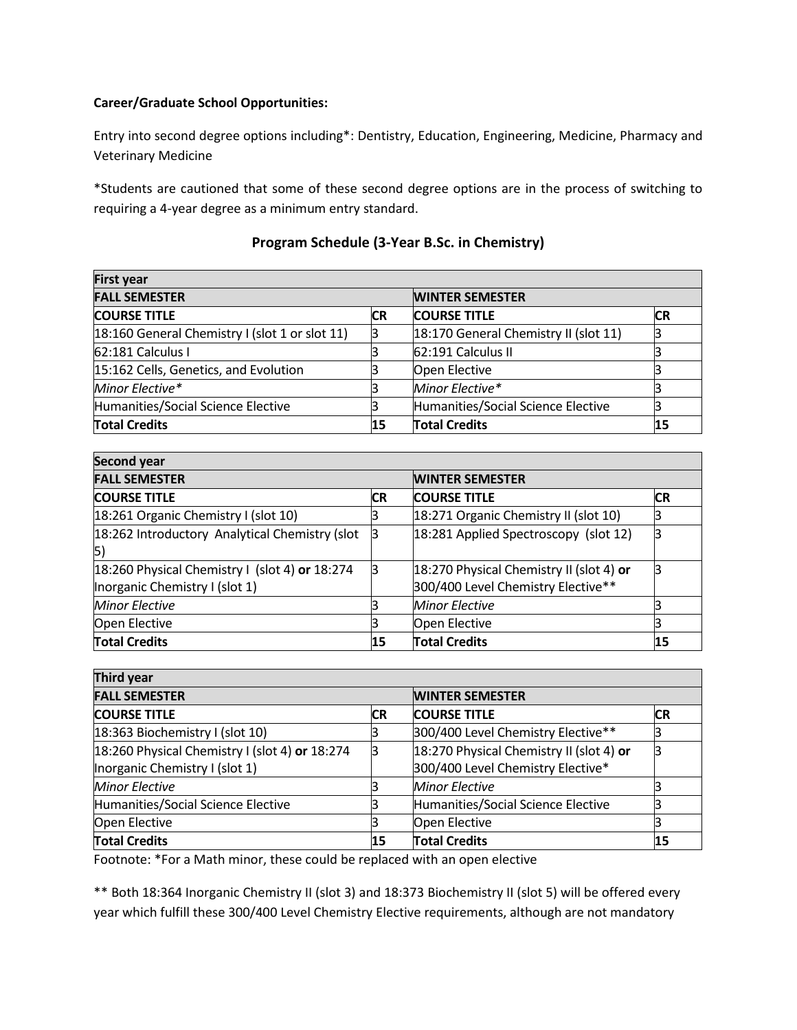#### **Career/Graduate School Opportunities:**

Entry into second degree options including\*: Dentistry, Education, Engineering, Medicine, Pharmacy and Veterinary Medicine

\*Students are cautioned that some of these second degree options are in the process of switching to requiring a 4-year degree as a minimum entry standard.

| <b>First year</b>                              |    |                                       |    |  |  |
|------------------------------------------------|----|---------------------------------------|----|--|--|
| <b>FALL SEMESTER</b>                           |    | <b>WINTER SEMESTER</b>                |    |  |  |
| <b>COURSE TITLE</b>                            | CR | <b>COURSE TITLE</b>                   | СR |  |  |
| 18:160 General Chemistry I (slot 1 or slot 11) |    | 18:170 General Chemistry II (slot 11) |    |  |  |
| 62:181 Calculus I                              |    | 62:191 Calculus II                    |    |  |  |
| 15:162 Cells, Genetics, and Evolution          |    | Open Elective                         |    |  |  |
| Minor Elective*                                |    | Minor Elective*                       |    |  |  |
| Humanities/Social Science Elective             |    | Humanities/Social Science Elective    |    |  |  |
| <b>Total Credits</b>                           |    | <b>Total Credits</b>                  | 15 |  |  |

#### **Program Schedule (3-Year B.Sc. in Chemistry)**

| <b>Second year</b>                                                               |           |                                                                                |           |  |  |
|----------------------------------------------------------------------------------|-----------|--------------------------------------------------------------------------------|-----------|--|--|
| <b>FALL SEMESTER</b>                                                             |           | <b>WINTER SEMESTER</b>                                                         |           |  |  |
| <b>COURSE TITLE</b>                                                              | <b>CR</b> | <b>COURSE TITLE</b>                                                            | <b>CR</b> |  |  |
| 18:261 Organic Chemistry I (slot 10)                                             |           | 18:271 Organic Chemistry II (slot 10)                                          |           |  |  |
| 18:262 Introductory Analytical Chemistry (slot<br> 5)                            | B         | 18:281 Applied Spectroscopy (slot 12)                                          |           |  |  |
| 18:260 Physical Chemistry I (slot 4) or 18:274<br>Inorganic Chemistry I (slot 1) | β         | 18:270 Physical Chemistry II (slot 4) or<br>300/400 Level Chemistry Elective** |           |  |  |
| <b>Minor Elective</b>                                                            |           | <b>Minor Elective</b>                                                          |           |  |  |
| Open Elective                                                                    |           | Open Elective                                                                  |           |  |  |
| <b>Total Credits</b>                                                             | 15        | <b>Total Credits</b>                                                           | 15        |  |  |

| Third year                                     |           |                                          |           |  |  |
|------------------------------------------------|-----------|------------------------------------------|-----------|--|--|
| <b>FALL SEMESTER</b>                           |           | <b>WINTER SEMESTER</b>                   |           |  |  |
| <b>COURSE TITLE</b>                            | <b>CR</b> | <b>COURSE TITLE</b>                      | <b>CR</b> |  |  |
| 18:363 Biochemistry I (slot 10)                |           | 300/400 Level Chemistry Elective**       |           |  |  |
| 18:260 Physical Chemistry I (slot 4) or 18:274 | lЗ        | 18:270 Physical Chemistry II (slot 4) or |           |  |  |
| Inorganic Chemistry I (slot 1)                 |           | 300/400 Level Chemistry Elective*        |           |  |  |
| <b>Minor Elective</b>                          |           | <b>Minor Elective</b>                    |           |  |  |
| Humanities/Social Science Elective             |           | Humanities/Social Science Elective       |           |  |  |
| Open Elective                                  |           | Open Elective                            |           |  |  |
| <b>Total Credits</b>                           |           | <b>Total Credits</b>                     | 15        |  |  |

Footnote: \*For a Math minor, these could be replaced with an open elective

\*\* Both 18:364 Inorganic Chemistry II (slot 3) and 18:373 Biochemistry II (slot 5) will be offered every year which fulfill these 300/400 Level Chemistry Elective requirements, although are not mandatory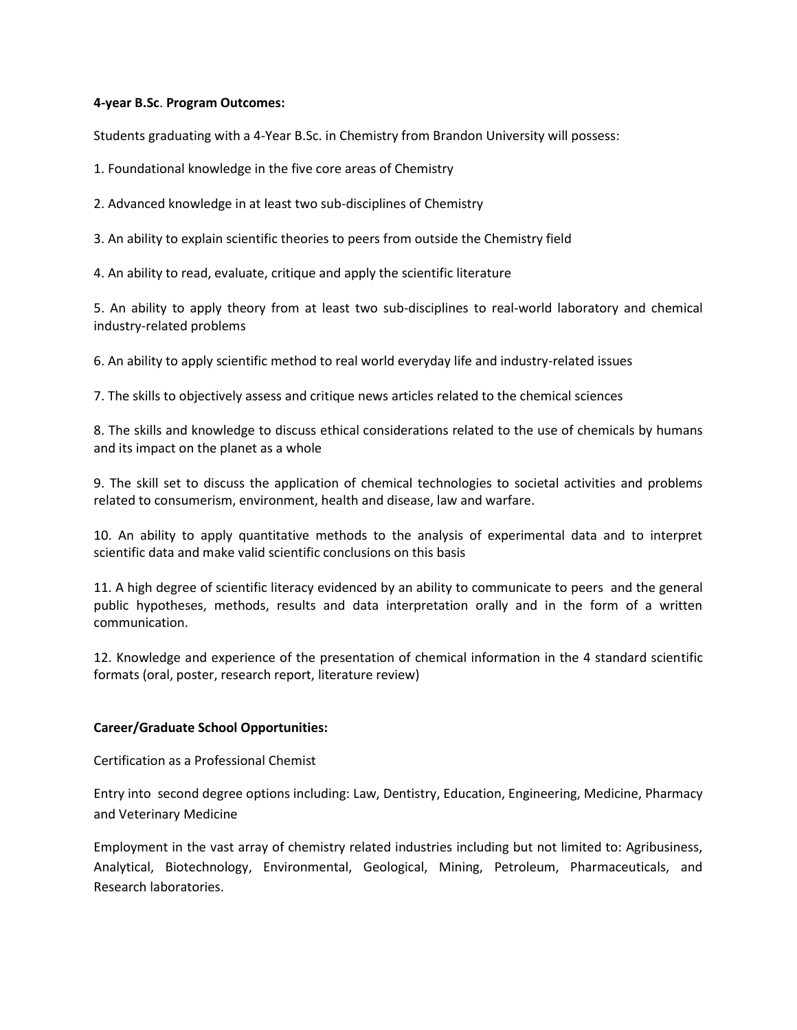#### **4-year B.Sc**. **Program Outcomes:**

Students graduating with a 4-Year B.Sc. in Chemistry from Brandon University will possess:

1. Foundational knowledge in the five core areas of Chemistry

2. Advanced knowledge in at least two sub-disciplines of Chemistry

3. An ability to explain scientific theories to peers from outside the Chemistry field

4. An ability to read, evaluate, critique and apply the scientific literature

5. An ability to apply theory from at least two sub-disciplines to real-world laboratory and chemical industry-related problems

6. An ability to apply scientific method to real world everyday life and industry-related issues

7. The skills to objectively assess and critique news articles related to the chemical sciences

8. The skills and knowledge to discuss ethical considerations related to the use of chemicals by humans and its impact on the planet as a whole

9. The skill set to discuss the application of chemical technologies to societal activities and problems related to consumerism, environment, health and disease, law and warfare.

10. An ability to apply quantitative methods to the analysis of experimental data and to interpret scientific data and make valid scientific conclusions on this basis

11. A high degree of scientific literacy evidenced by an ability to communicate to peers and the general public hypotheses, methods, results and data interpretation orally and in the form of a written communication.

12. Knowledge and experience of the presentation of chemical information in the 4 standard scientific formats (oral, poster, research report, literature review)

#### **Career/Graduate School Opportunities:**

Certification as a Professional Chemist

Entry into second degree options including: Law, Dentistry, Education, Engineering, Medicine, Pharmacy and Veterinary Medicine

Employment in the vast array of chemistry related industries including but not limited to: Agribusiness, Analytical, Biotechnology, Environmental, Geological, Mining, Petroleum, Pharmaceuticals, and Research laboratories.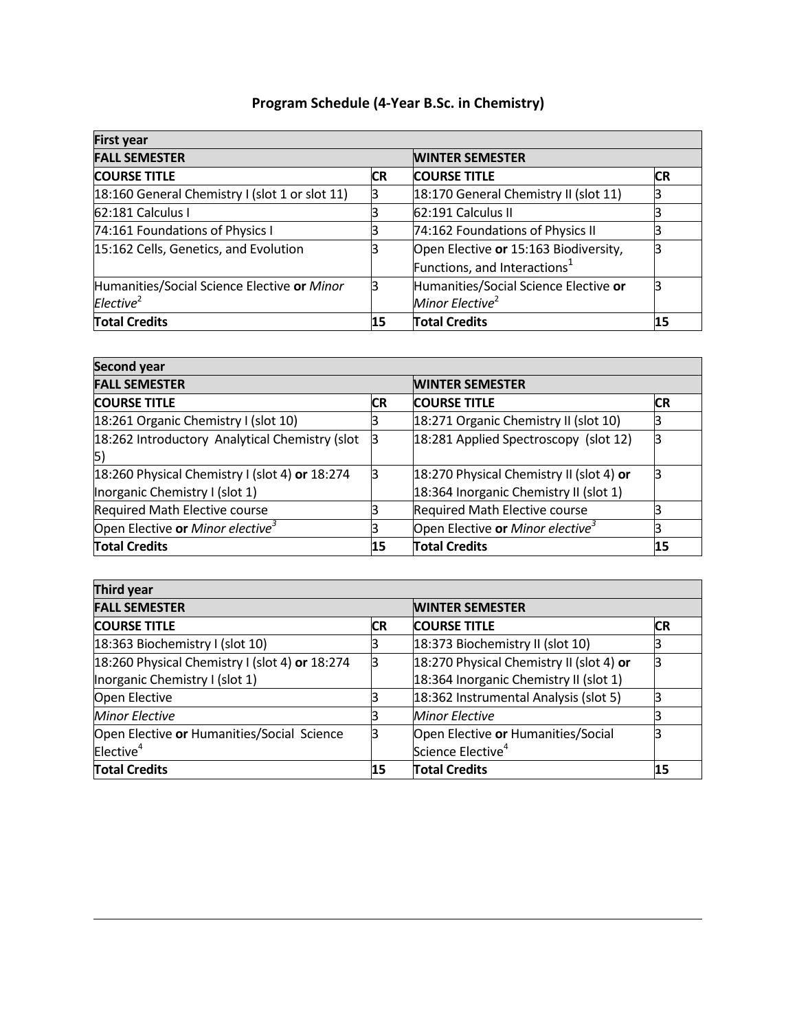| <b>First year</b>                              |           |                                       |           |  |
|------------------------------------------------|-----------|---------------------------------------|-----------|--|
| <b>FALL SEMESTER</b>                           |           | <b>WINTER SEMESTER</b>                |           |  |
| <b>COURSE TITLE</b>                            | <b>CR</b> | <b>COURSE TITLE</b>                   | <b>CR</b> |  |
| 18:160 General Chemistry I (slot 1 or slot 11) | R         | 18:170 General Chemistry II (slot 11) |           |  |
| 62:181 Calculus I                              |           | 62:191 Calculus II                    |           |  |
| 74:161 Foundations of Physics I                |           | 74:162 Foundations of Physics II      |           |  |
| 15:162 Cells, Genetics, and Evolution          |           | Open Elective or 15:163 Biodiversity, |           |  |
|                                                |           | Functions, and Interactions $1$       |           |  |
| Humanities/Social Science Elective or Minor    | B         | Humanities/Social Science Elective or |           |  |
| Elective <sup>2</sup>                          |           | Minor Elective <sup>2</sup>           |           |  |
| <b>Total Credits</b>                           | 15        | <b>Total Credits</b>                  | 15        |  |

## **Program Schedule (4-Year B.Sc. in Chemistry)**

| Second year                                                                      |    |                                                                                    |           |  |  |
|----------------------------------------------------------------------------------|----|------------------------------------------------------------------------------------|-----------|--|--|
| <b>FALL SEMESTER</b>                                                             |    | <b>WINTER SEMESTER</b>                                                             |           |  |  |
| <b>COURSE TITLE</b>                                                              | СR | <b>COURSE TITLE</b>                                                                | <b>CR</b> |  |  |
| 18:261 Organic Chemistry I (slot 10)                                             |    | 18:271 Organic Chemistry II (slot 10)                                              |           |  |  |
| 18:262 Introductory Analytical Chemistry (slot<br> 5)                            |    | 18:281 Applied Spectroscopy (slot 12)                                              |           |  |  |
| 18:260 Physical Chemistry I (slot 4) or 18:274<br>Inorganic Chemistry I (slot 1) | В  | 18:270 Physical Chemistry II (slot 4) or<br>18:364 Inorganic Chemistry II (slot 1) |           |  |  |
| Required Math Elective course                                                    |    | Required Math Elective course                                                      |           |  |  |
| Open Elective or Minor elective <sup>3</sup>                                     |    | Open Elective or Minor elective <sup>3</sup>                                       |           |  |  |
| <b>Total Credits</b>                                                             | 15 | <b>Total Credits</b>                                                               | 15        |  |  |

| Third year                                     |           |                                          |            |  |
|------------------------------------------------|-----------|------------------------------------------|------------|--|
| <b>FALL SEMESTER</b>                           |           | <b>WINTER SEMESTER</b>                   |            |  |
| <b>COURSE TITLE</b>                            | <b>CR</b> | <b>COURSE TITLE</b>                      | <b>ICR</b> |  |
| 18:363 Biochemistry I (slot 10)                |           | 18:373 Biochemistry II (slot 10)         |            |  |
| 18:260 Physical Chemistry I (slot 4) or 18:274 | 3         | 18:270 Physical Chemistry II (slot 4) or |            |  |
| Inorganic Chemistry I (slot 1)                 |           | 18:364 Inorganic Chemistry II (slot 1)   |            |  |
| Open Elective                                  |           | 18:362 Instrumental Analysis (slot 5)    |            |  |
| <b>Minor Elective</b>                          |           | <b>Minor Elective</b>                    |            |  |
| Open Elective or Humanities/Social Science     |           | Open Elective or Humanities/Social       |            |  |
| Elective <sup>4</sup>                          |           | Science Elective <sup>4</sup>            |            |  |
| <b>Total Credits</b>                           | 15        | <b>Total Credits</b>                     | 15         |  |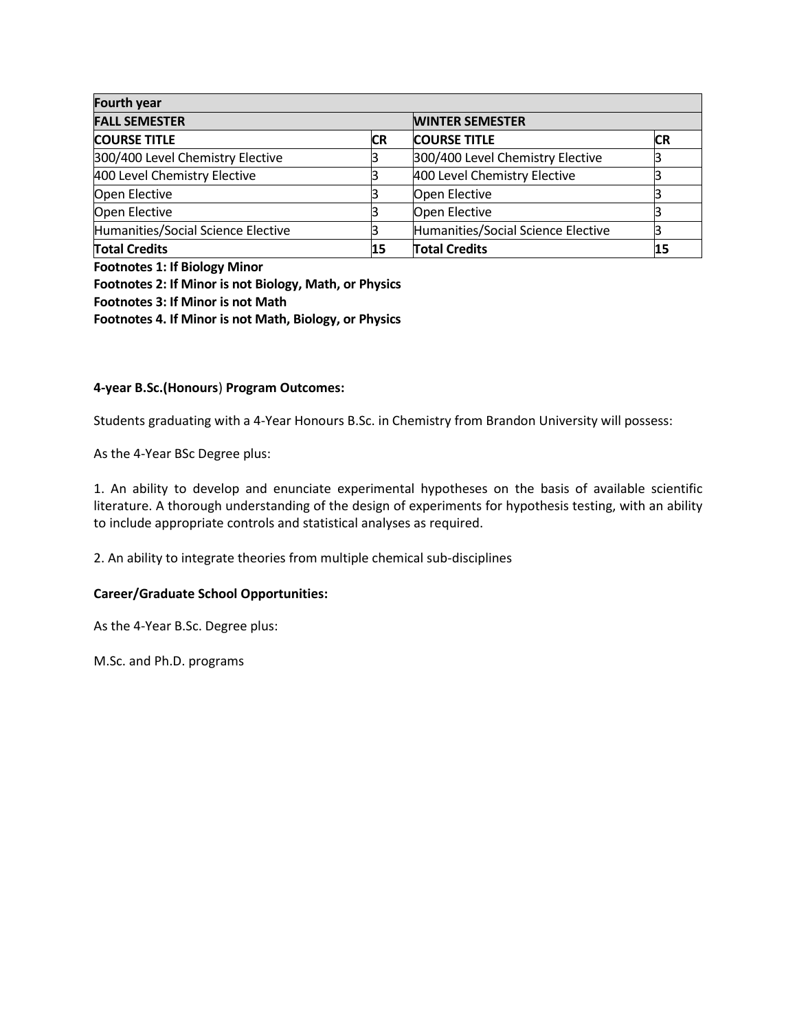| Fourth year                        |           |                                    |    |  |
|------------------------------------|-----------|------------------------------------|----|--|
| <b>FALL SEMESTER</b>               |           | <b>WINTER SEMESTER</b>             |    |  |
| <b>COURSE TITLE</b>                | <b>CR</b> | <b>COURSE TITLE</b>                | CR |  |
| 300/400 Level Chemistry Elective   |           | 300/400 Level Chemistry Elective   |    |  |
| 400 Level Chemistry Elective       |           | 400 Level Chemistry Elective       |    |  |
| Open Elective                      |           | Open Elective                      |    |  |
| Open Elective                      |           | Open Elective                      |    |  |
| Humanities/Social Science Elective |           | Humanities/Social Science Elective |    |  |
| <b>Total Credits</b>               |           | <b>Total Credits</b>               | 15 |  |

**Footnotes 1: If Biology Minor Footnotes 2: If Minor is not Biology, Math, or Physics Footnotes 3: If Minor is not Math Footnotes 4. If Minor is not Math, Biology, or Physics**

#### **4-year B.Sc.(Honours**) **Program Outcomes:**

Students graduating with a 4-Year Honours B.Sc. in Chemistry from Brandon University will possess:

As the 4-Year BSc Degree plus:

1. An ability to develop and enunciate experimental hypotheses on the basis of available scientific literature. A thorough understanding of the design of experiments for hypothesis testing, with an ability to include appropriate controls and statistical analyses as required.

2. An ability to integrate theories from multiple chemical sub-disciplines

#### **Career/Graduate School Opportunities:**

As the 4-Year B.Sc. Degree plus:

M.Sc. and Ph.D. programs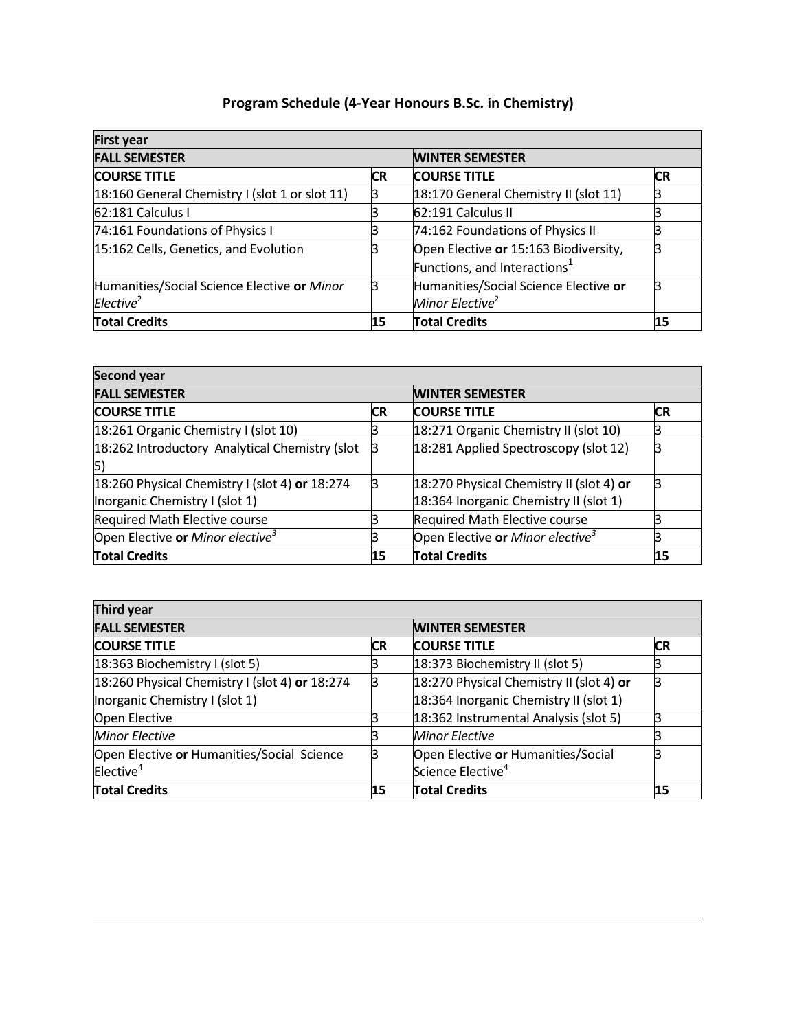## **Program Schedule (4-Year Honours B.Sc. in Chemistry)**

| <b>First year</b>                              |    |                                          |    |
|------------------------------------------------|----|------------------------------------------|----|
| <b>FALL SEMESTER</b>                           |    | <b>WINTER SEMESTER</b>                   |    |
| <b>COURSE TITLE</b>                            | CR | <b>COURSE TITLE</b>                      | CR |
| 18:160 General Chemistry I (slot 1 or slot 11) |    | 18:170 General Chemistry II (slot 11)    |    |
| 62:181 Calculus I                              |    | 62:191 Calculus II                       |    |
| 74:161 Foundations of Physics I                |    | 74:162 Foundations of Physics II         |    |
| 15:162 Cells, Genetics, and Evolution          |    | Open Elective or 15:163 Biodiversity,    |    |
|                                                |    | Functions, and Interactions <sup>1</sup> |    |
| Humanities/Social Science Elective or Minor    |    | Humanities/Social Science Elective or    |    |
| Elective <sup>2</sup>                          |    | Minor Elective <sup>2</sup>              |    |
| <b>Total Credits</b>                           | 15 | <b>Total Credits</b>                     | 15 |

| Second year                                                                      |           |                                                                                    |    |  |  |
|----------------------------------------------------------------------------------|-----------|------------------------------------------------------------------------------------|----|--|--|
| <b>FALL SEMESTER</b>                                                             |           | <b>WINTER SEMESTER</b>                                                             |    |  |  |
| <b>COURSE TITLE</b>                                                              | <b>CR</b> | <b>COURSE TITLE</b>                                                                | CR |  |  |
| 18:261 Organic Chemistry I (slot 10)                                             |           | 18:271 Organic Chemistry II (slot 10)                                              |    |  |  |
| 18:262 Introductory Analytical Chemistry (slot<br>5)                             |           | 18:281 Applied Spectroscopy (slot 12)                                              |    |  |  |
| 18:260 Physical Chemistry I (slot 4) or 18:274<br>Inorganic Chemistry I (slot 1) |           | 18:270 Physical Chemistry II (slot 4) or<br>18:364 Inorganic Chemistry II (slot 1) |    |  |  |
| <b>Required Math Elective course</b>                                             |           | Required Math Elective course                                                      |    |  |  |
| Open Elective or Minor elective <sup>3</sup>                                     |           | Open Elective or Minor elective <sup>3</sup>                                       |    |  |  |
| <b>Total Credits</b>                                                             | 15        | <b>Total Credits</b>                                                               | 15 |  |  |

| Third year                                     |           |                                          |           |  |  |  |
|------------------------------------------------|-----------|------------------------------------------|-----------|--|--|--|
| <b>FALL SEMESTER</b>                           |           | <b>WINTER SEMESTER</b>                   |           |  |  |  |
| <b>COURSE TITLE</b>                            | <b>CR</b> | <b>COURSE TITLE</b>                      | <b>CR</b> |  |  |  |
| 18:363 Biochemistry I (slot 5)                 |           | 18:373 Biochemistry II (slot 5)          |           |  |  |  |
| 18:260 Physical Chemistry I (slot 4) or 18:274 | ß         | 18:270 Physical Chemistry II (slot 4) or |           |  |  |  |
| Inorganic Chemistry I (slot 1)                 |           | 18:364 Inorganic Chemistry II (slot 1)   |           |  |  |  |
| Open Elective                                  |           | 18:362 Instrumental Analysis (slot 5)    |           |  |  |  |
| <b>Minor Elective</b>                          |           | <b>Minor Elective</b>                    |           |  |  |  |
| Open Elective or Humanities/Social Science     |           | Open Elective or Humanities/Social       |           |  |  |  |
| Elective <sup>4</sup>                          |           | Science Elective <sup>4</sup>            |           |  |  |  |
| <b>Total Credits</b>                           | 15        | <b>Total Credits</b>                     | 15        |  |  |  |